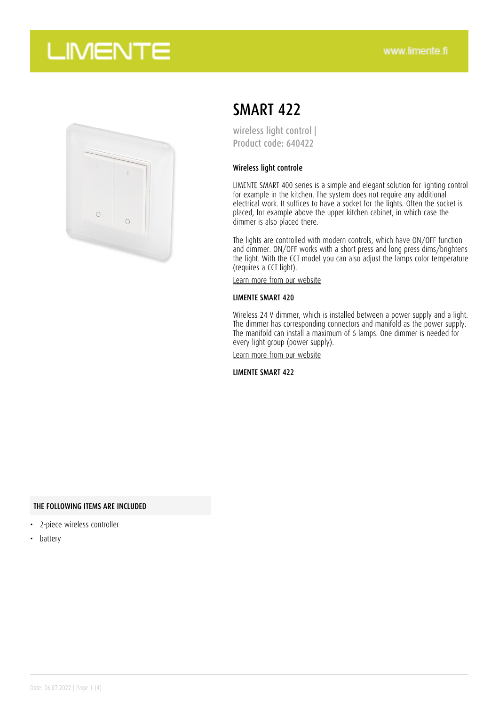## **LIMENTE**



## SMART 422

wireless light control | Product code: 640422

#### Wireless light controle

LIMENTE SMART 400 series is a simple and elegant solution for lighting control for example in the kitchen. The system does not require any additional electrical work. It suffices to have a socket for the lights. Often the socket is placed, for example above the upper kitchen cabinet, in which case the dimmer is also placed there.

The lights are controlled with modern controls, which have ON/OFF function and dimmer. ON/OFF works with a short press and long press dims/brightens the light. With the CCT model you can also adjust the lamps color temperature (requires a CCT light).

[Learn more from our website](https://www.limente.fi/tuotteet/640422)

#### LIMENTE SMART 420

Wireless 24 V dimmer, which is installed between a power supply and a light. The dimmer has corresponding connectors and manifold as the power supply. The manifold can install a maximum of 6 lamps. One dimmer is needed for every light group (power supply).

[Learn more from our website](https://www.limente.fi/tuotteet/640422)

LIMENTE SMART 422

#### THE FOLLOWING ITEMS ARE INCLUDED

- 2-piece wireless controller
- battery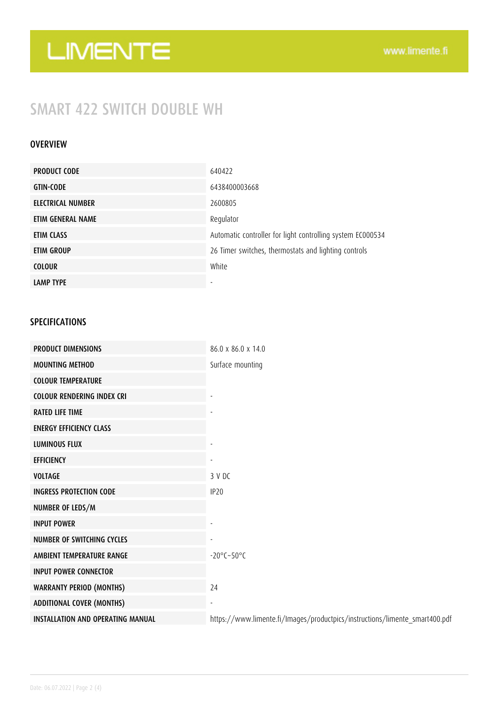# LIMENTE

### SMART 422 SWITCH DOUBLE WH

#### **OVERVIEW**

| <b>PRODUCT CODE</b> | 640422                                                     |
|---------------------|------------------------------------------------------------|
| <b>GTIN-CODE</b>    | 6438400003668                                              |
| ELECTRICAL NUMBER   | 2600805                                                    |
| ETIM GENERAL NAME   | Regulator                                                  |
| ETIM CLASS          | Automatic controller for light controlling system EC000534 |
| ETIM GROUP          | 26 Timer switches, thermostats and lighting controls       |
| <b>COLOUR</b>       | White                                                      |
| <b>LAMP TYPE</b>    |                                                            |

#### SPECIFICATIONS

| <b>PRODUCT DIMENSIONS</b>                | 86.0 x 86.0 x 14.0                                                          |
|------------------------------------------|-----------------------------------------------------------------------------|
| <b>MOUNTING METHOD</b>                   | Surface mounting                                                            |
| <b>COLOUR TEMPERATURE</b>                |                                                                             |
| <b>COLOUR RENDERING INDEX CRI</b>        |                                                                             |
| <b>RATED LIFE TIME</b>                   |                                                                             |
| <b>ENERGY EFFICIENCY CLASS</b>           |                                                                             |
| <b>LUMINOUS FLUX</b>                     |                                                                             |
| <b>EFFICIENCY</b>                        |                                                                             |
| <b>VOLTAGE</b>                           | 3 V DC                                                                      |
| <b>INGRESS PROTECTION CODE</b>           | IP <sub>20</sub>                                                            |
| NUMBER OF LEDS/M                         |                                                                             |
| <b>INPUT POWER</b>                       |                                                                             |
| <b>NUMBER OF SWITCHING CYCLES</b>        |                                                                             |
| AMBIENT TEMPERATURE RANGE                | $-20^{\circ}$ C $-50^{\circ}$ C                                             |
| <b>INPUT POWER CONNECTOR</b>             |                                                                             |
| <b>WARRANTY PERIOD (MONTHS)</b>          | 24                                                                          |
| <b>ADDITIONAL COVER (MONTHS)</b>         |                                                                             |
| <b>INSTALLATION AND OPERATING MANUAL</b> | https://www.limente.fi/Images/productpics/instructions/limente_smart400.pdf |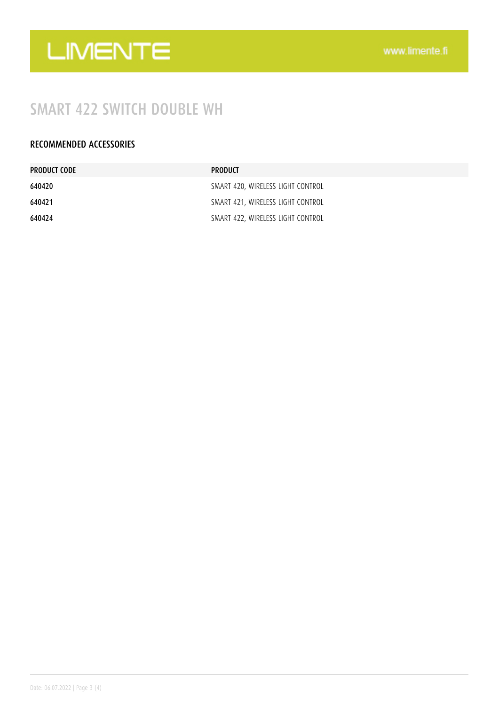

## SMART 422 SWITCH DOUBLE WH

#### RECOMMENDED ACCESSORIES

| PRODUCT CODE | <b>PRODUCT</b>                    |
|--------------|-----------------------------------|
| 640420       | SMART 420, WIRELESS LIGHT CONTROL |
| 640421       | SMART 421, WIRELESS LIGHT CONTROL |
| 640424       | SMART 422, WIRELESS LIGHT CONTROL |
|              |                                   |